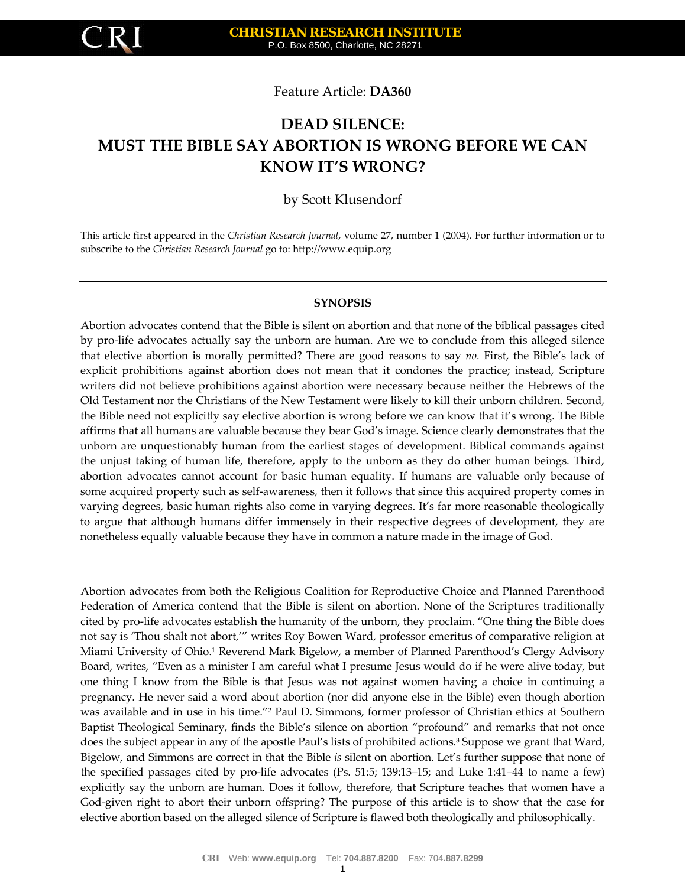

Feature Article: **DA360**

# **DEAD SILENCE: MUST THE BIBLE SAY ABORTION IS WRONG BEFORE WE CAN KNOW IT'S WRONG?**

by Scott Klusendorf

This article first appeared in the *Christian Research Journal*, volume 27, number 1 (2004). For further information or to subscribe to the *Christian Research Journal* go to: [http://www.equip.org](http://www.equip.org/)

#### **SYNOPSIS**

Abortion advocates contend that the Bible is silent on abortion and that none of the biblical passages cited by pro‐life advocates actually say the unborn are human. Are we to conclude from this alleged silence that elective abortion is morally permitted? There are good reasons to say *no.* First, the Bible's lack of explicit prohibitions against abortion does not mean that it condones the practice; instead, Scripture writers did not believe prohibitions against abortion were necessary because neither the Hebrews of the Old Testament nor the Christians of the New Testament were likely to kill their unborn children. Second, the Bible need not explicitly say elective abortion is wrong before we can know that it's wrong. The Bible affirms that all humans are valuable because they bear God's image. Science clearly demonstrates that the unborn are unquestionably human from the earliest stages of development. Biblical commands against the unjust taking of human life, therefore, apply to the unborn as they do other human beings. Third, abortion advocates cannot account for basic human equality. If humans are valuable only because of some acquired property such as self-awareness, then it follows that since this acquired property comes in varying degrees, basic human rights also come in varying degrees. It's far more reasonable theologically to argue that although humans differ immensely in their respective degrees of development, they are nonetheless equally valuable because they have in common a nature made in the image of God.

Abortion advocates from both the Religious Coalition for Reproductive Choice and Planned Parenthood Federation of America contend that the Bible is silent on abortion. None of the Scriptures traditionally cited by pro‐life advocates establish the humanity of the unborn, they proclaim. "One thing the Bible does not say is 'Thou shalt not abort,'" writes Roy Bowen Ward, professor emeritus of comparative religion at Miami University of Ohio.<sup>1</sup> Reverend Mark Bigelow, a member of Planned Parenthood's Clergy Advisory Board, writes, "Even as a minister I am careful what I presume Jesus would do if he were alive today, but one thing I know from the Bible is that Jesus was not against women having a choice in continuing a pregnancy. He never said a word about abortion (nor did anyone else in the Bible) even though abortion was available and in use in his time."2 Paul D. Simmons, former professor of Christian ethics at Southern Baptist Theological Seminary, finds the Bible's silence on abortion "profound" and remarks that not once does the subject appear in any of the apostle Paul's lists of prohibited actions.<sup>3</sup> Suppose we grant that Ward, Bigelow, and Simmons are correct in that the Bible *is* silent on abortion. Let's further suppose that none of the specified passages cited by pro‐life advocates (Ps. 51:5; 139:13–15; and Luke 1:41–44 to name a few) explicitly say the unborn are human. Does it follow, therefore, that Scripture teaches that women have a God-given right to abort their unborn offspring? The purpose of this article is to show that the case for elective abortion based on the alleged silence of Scripture is flawed both theologically and philosophically.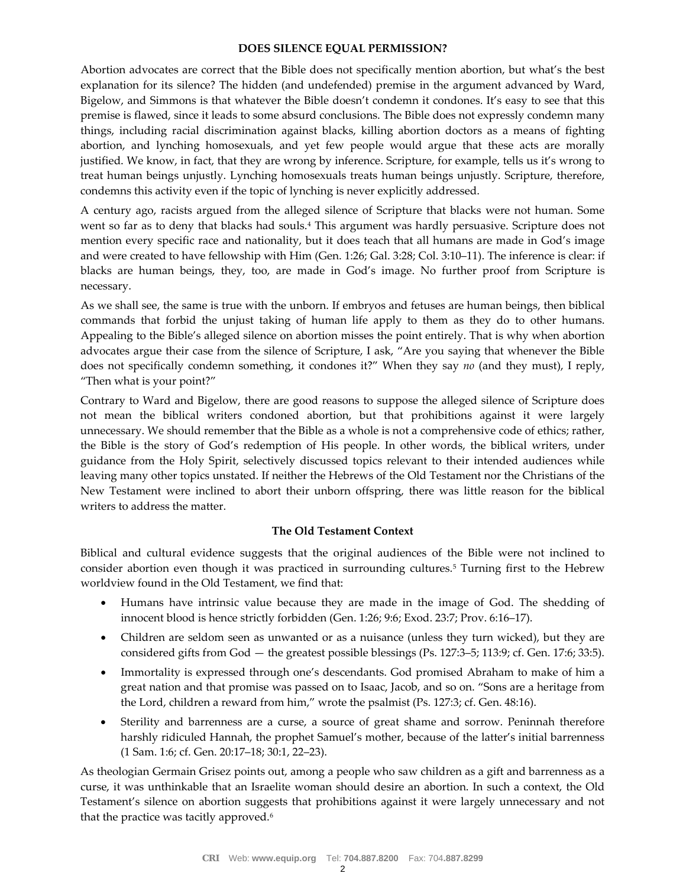## **DOES SILENCE EQUAL PERMISSION?**

Abortion advocates are correct that the Bible does not specifically mention abortion, but what's the best explanation for its silence? The hidden (and undefended) premise in the argument advanced by Ward, Bigelow, and Simmons is that whatever the Bible doesn't condemn it condones. It's easy to see that this premise is flawed, since it leads to some absurd conclusions. The Bible does not expressly condemn many things, including racial discrimination against blacks, killing abortion doctors as a means of fighting abortion, and lynching homosexuals, and yet few people would argue that these acts are morally justified. We know, in fact, that they are wrong by inference. Scripture, for example, tells us it's wrong to treat human beings unjustly. Lynching homosexuals treats human beings unjustly. Scripture, therefore, condemns this activity even if the topic of lynching is never explicitly addressed.

A century ago, racists argued from the alleged silence of Scripture that blacks were not human. Some went so far as to deny that blacks had souls.4 This argument was hardly persuasive. Scripture does not mention every specific race and nationality, but it does teach that all humans are made in God's image and were created to have fellowship with Him (Gen. 1:26; Gal. 3:28; Col. 3:10–11). The inference is clear: if blacks are human beings, they, too, are made in God's image. No further proof from Scripture is necessary.

As we shall see, the same is true with the unborn. If embryos and fetuses are human beings, then biblical commands that forbid the unjust taking of human life apply to them as they do to other humans. Appealing to the Bible's alleged silence on abortion misses the point entirely. That is why when abortion advocates argue their case from the silence of Scripture, I ask, "Are you saying that whenever the Bible does not specifically condemn something, it condones it?" When they say *no* (and they must), I reply, "Then what is your point?"

Contrary to Ward and Bigelow, there are good reasons to suppose the alleged silence of Scripture does not mean the biblical writers condoned abortion, but that prohibitions against it were largely unnecessary. We should remember that the Bible as a whole is not a comprehensive code of ethics; rather, the Bible is the story of God's redemption of His people. In other words, the biblical writers, under guidance from the Holy Spirit, selectively discussed topics relevant to their intended audiences while leaving many other topics unstated. If neither the Hebrews of the Old Testament nor the Christians of the New Testament were inclined to abort their unborn offspring, there was little reason for the biblical writers to address the matter.

## **The Old Testament Context**

Biblical and cultural evidence suggests that the original audiences of the Bible were not inclined to consider abortion even though it was practiced in surrounding cultures.5 Turning first to the Hebrew worldview found in the Old Testament, we find that:

- Humans have intrinsic value because they are made in the image of God. The shedding of innocent blood is hence strictly forbidden (Gen. 1:26; 9:6; Exod. 23:7; Prov. 6:16–17).
- Children are seldom seen as unwanted or as a nuisance (unless they turn wicked), but they are considered gifts from God — the greatest possible blessings (Ps. 127:3–5; 113:9; cf. Gen. 17:6; 33:5).
- Immortality is expressed through one's descendants. God promised Abraham to make of him a great nation and that promise was passed on to Isaac, Jacob, and so on. "Sons are a heritage from the Lord, children a reward from him," wrote the psalmist (Ps. 127:3; cf. Gen. 48:16).
- Sterility and barrenness are a curse, a source of great shame and sorrow. Peninnah therefore harshly ridiculed Hannah, the prophet Samuel's mother, because of the latter's initial barrenness (1 Sam. 1:6; cf. Gen. 20:17–18; 30:1, 22–23).

As theologian Germain Grisez points out, among a people who saw children as a gift and barrenness as a curse, it was unthinkable that an Israelite woman should desire an abortion. In such a context, the Old Testament's silence on abortion suggests that prohibitions against it were largely unnecessary and not that the practice was tacitly approved.<sup>6</sup>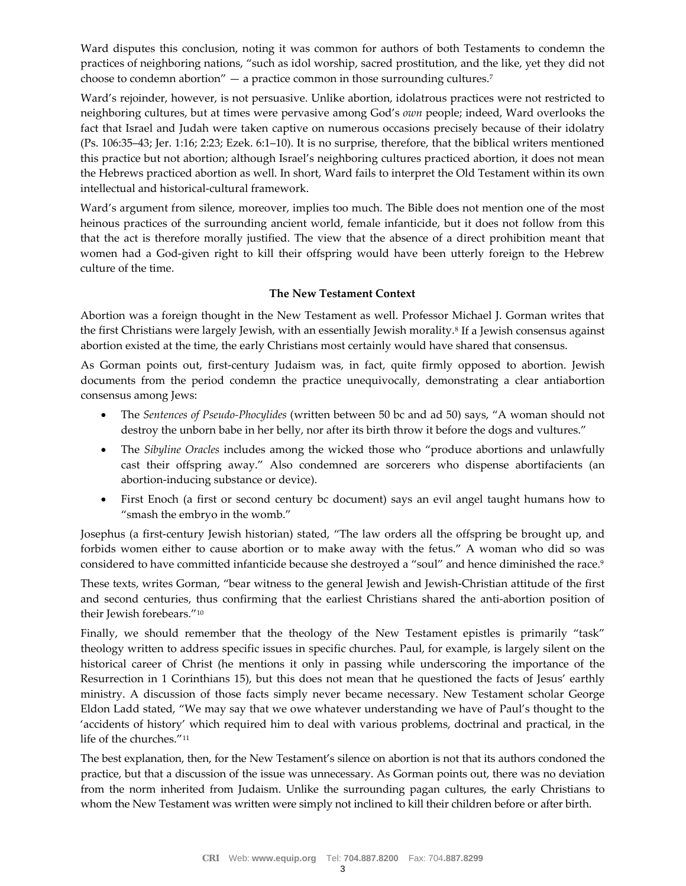Ward disputes this conclusion, noting it was common for authors of both Testaments to condemn the practices of neighboring nations, "such as idol worship, sacred prostitution, and the like, yet they did not choose to condemn abortion"  $-$  a practice common in those surrounding cultures.<sup>7</sup>

Ward's rejoinder, however, is not persuasive. Unlike abortion, idolatrous practices were not restricted to neighboring cultures, but at times were pervasive among God's *own* people; indeed, Ward overlooks the fact that Israel and Judah were taken captive on numerous occasions precisely because of their idolatry (Ps. 106:35–43; Jer. 1:16; 2:23; Ezek. 6:1–10). It is no surprise, therefore, that the biblical writers mentioned this practice but not abortion; although Israel's neighboring cultures practiced abortion, it does not mean the Hebrews practiced abortion as well. In short, Ward fails to interpret the Old Testament within its own intellectual and historical‐cultural framework.

Ward's argument from silence, moreover, implies too much. The Bible does not mention one of the most heinous practices of the surrounding ancient world, female infanticide, but it does not follow from this that the act is therefore morally justified. The view that the absence of a direct prohibition meant that women had a God‐given right to kill their offspring would have been utterly foreign to the Hebrew culture of the time.

## **The New Testament Context**

Abortion was a foreign thought in the New Testament as well. Professor Michael J. Gorman writes that the first Christians were largely Jewish, with an essentially Jewish morality.8 If a Jewish consensus against abortion existed at the time, the early Christians most certainly would have shared that consensus.

As Gorman points out, first-century Judaism was, in fact, quite firmly opposed to abortion. Jewish documents from the period condemn the practice unequivocally, demonstrating a clear antiabortion consensus among Jews:

- The *Sentences of Pseudo‐Phocylides* (written between 50 bc and ad 50) says, "A woman should not destroy the unborn babe in her belly, nor after its birth throw it before the dogs and vultures."
- The *Sibyline Oracles* includes among the wicked those who "produce abortions and unlawfully cast their offspring away." Also condemned are sorcerers who dispense abortifacients (an abortion‐inducing substance or device).
- First Enoch (a first or second century bc document) says an evil angel taught humans how to "smash the embryo in the womb."

Josephus (a first-century Jewish historian) stated, "The law orders all the offspring be brought up, and forbids women either to cause abortion or to make away with the fetus." A woman who did so was considered to have committed infanticide because she destroyed a "soul" and hence diminished the race.<sup>9</sup>

These texts, writes Gorman, "bear witness to the general Jewish and Jewish‐Christian attitude of the first and second centuries, thus confirming that the earliest Christians shared the anti-abortion position of their Jewish forebears."10

Finally, we should remember that the theology of the New Testament epistles is primarily "task" theology written to address specific issues in specific churches. Paul, for example, is largely silent on the historical career of Christ (he mentions it only in passing while underscoring the importance of the Resurrection in 1 Corinthians 15), but this does not mean that he questioned the facts of Jesus' earthly ministry. A discussion of those facts simply never became necessary. New Testament scholar George Eldon Ladd stated, "We may say that we owe whatever understanding we have of Paul's thought to the 'accidents of history' which required him to deal with various problems, doctrinal and practical, in the life of the churches."11

The best explanation, then, for the New Testament's silence on abortion is not that its authors condoned the practice, but that a discussion of the issue was unnecessary. As Gorman points out, there was no deviation from the norm inherited from Judaism. Unlike the surrounding pagan cultures, the early Christians to whom the New Testament was written were simply not inclined to kill their children before or after birth.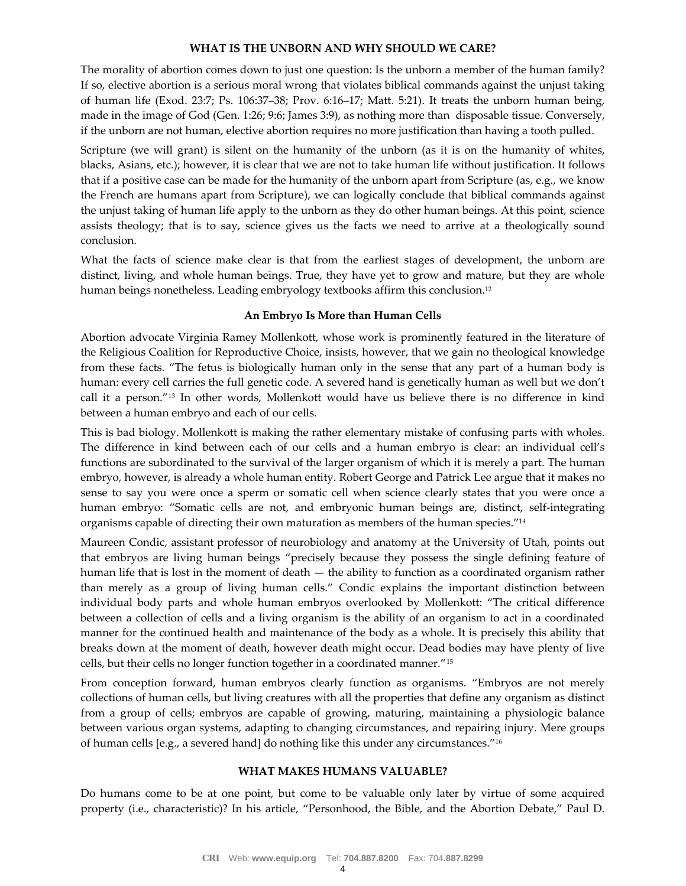#### **WHAT IS THE UNBORN AND WHY SHOULD WE CARE?**

The morality of abortion comes down to just one question: Is the unborn a member of the human family? If so, elective abortion is a serious moral wrong that violates biblical commands against the unjust taking of human life (Exod. 23:7; Ps. 106:37–38; Prov. 6:16–17; Matt. 5:21). It treats the unborn human being, made in the image of God (Gen. 1:26; 9:6; James 3:9), as nothing more than disposable tissue. Conversely, if the unborn are not human, elective abortion requires no more justification than having a tooth pulled.

Scripture (we will grant) is silent on the humanity of the unborn (as it is on the humanity of whites, blacks, Asians, etc.); however, it is clear that we are not to take human life without justification. It follows that if a positive case can be made for the humanity of the unborn apart from Scripture (as, e.g., we know the French are humans apart from Scripture), we can logically conclude that biblical commands against the unjust taking of human life apply to the unborn as they do other human beings. At this point, science assists theology; that is to say, science gives us the facts we need to arrive at a theologically sound conclusion.

What the facts of science make clear is that from the earliest stages of development, the unborn are distinct, living, and whole human beings. True, they have yet to grow and mature, but they are whole human beings nonetheless. Leading embryology textbooks affirm this conclusion.<sup>12</sup>

#### **An Embryo Is More than Human Cells**

Abortion advocate Virginia Ramey Mollenkott, whose work is prominently featured in the literature of the Religious Coalition for Reproductive Choice, insists, however, that we gain no theological knowledge from these facts. "The fetus is biologically human only in the sense that any part of a human body is human: every cell carries the full genetic code. A severed hand is genetically human as well but we don't call it a person."13 In other words, Mollenkott would have us believe there is no difference in kind between a human embryo and each of our cells.

This is bad biology. Mollenkott is making the rather elementary mistake of confusing parts with wholes. The difference in kind between each of our cells and a human embryo is clear: an individual cell's functions are subordinated to the survival of the larger organism of which it is merely a part. The human embryo, however, is already a whole human entity. Robert George and Patrick Lee argue that it makes no sense to say you were once a sperm or somatic cell when science clearly states that you were once a human embryo: "Somatic cells are not, and embryonic human beings are, distinct, self-integrating organisms capable of directing their own maturation as members of the human species."<sup>14</sup>

Maureen Condic, assistant professor of neurobiology and anatomy at the University of Utah, points out that embryos are living human beings "precisely because they possess the single defining feature of human life that is lost in the moment of death — the ability to function as a coordinated organism rather than merely as a group of living human cells." Condic explains the important distinction between individual body parts and whole human embryos overlooked by Mollenkott: "The critical difference between a collection of cells and a living organism is the ability of an organism to act in a coordinated manner for the continued health and maintenance of the body as a whole. It is precisely this ability that breaks down at the moment of death, however death might occur. Dead bodies may have plenty of live cells, but their cells no longer function together in a coordinated manner."15

From conception forward, human embryos clearly function as organisms. "Embryos are not merely collections of human cells, but living creatures with all the properties that define any organism as distinct from a group of cells; embryos are capable of growing, maturing, maintaining a physiologic balance between various organ systems, adapting to changing circumstances, and repairing injury. Mere groups of human cells [e.g., a severed hand] do nothing like this under any circumstances."16

#### **WHAT MAKES HUMANS VALUABLE?**

Do humans come to be at one point, but come to be valuable only later by virtue of some acquired property (i.e., characteristic)? In his article, "Personhood, the Bible, and the Abortion Debate," Paul D.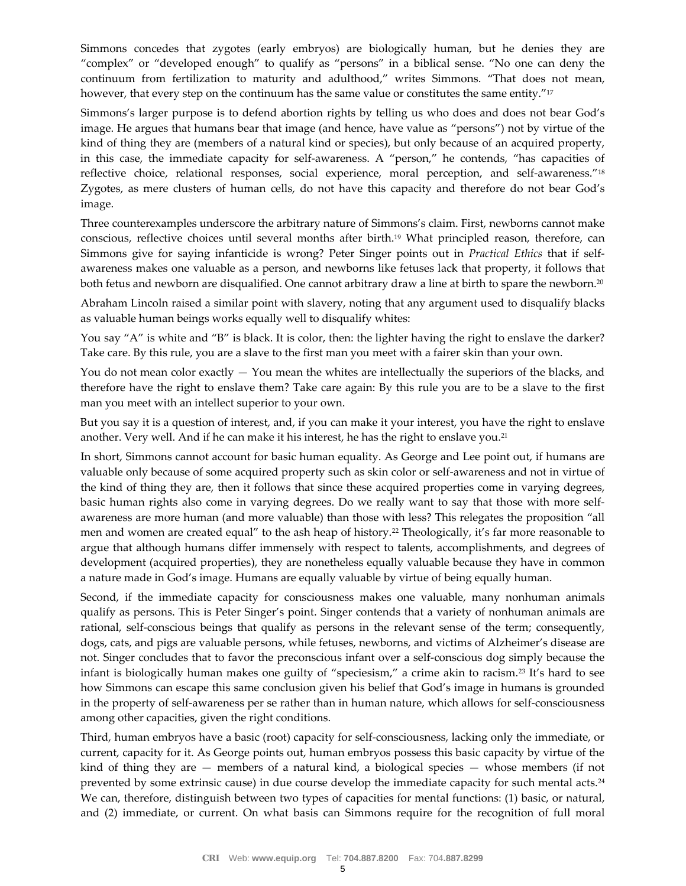Simmons concedes that zygotes (early embryos) are biologically human, but he denies they are "complex" or "developed enough" to qualify as "persons" in a biblical sense. "No one can deny the continuum from fertilization to maturity and adulthood," writes Simmons. "That does not mean, however, that every step on the continuum has the same value or constitutes the same entity."<sup>17</sup>

Simmons's larger purpose is to defend abortion rights by telling us who does and does not bear God's image. He argues that humans bear that image (and hence, have value as "persons") not by virtue of the kind of thing they are (members of a natural kind or species), but only because of an acquired property, in this case, the immediate capacity for self-awareness. A "person," he contends, "has capacities of reflective choice, relational responses, social experience, moral perception, and self-awareness."<sup>18</sup> Zygotes, as mere clusters of human cells, do not have this capacity and therefore do not bear God's image.

Three counterexamples underscore the arbitrary nature of Simmons's claim. First, newborns cannot make conscious, reflective choices until several months after birth.19 What principled reason, therefore, can Simmons give for saying infanticide is wrong? Peter Singer points out in *Practical Ethics* that if self‐ awareness makes one valuable as a person, and newborns like fetuses lack that property, it follows that both fetus and newborn are disqualified. One cannot arbitrary draw a line at birth to spare the newborn.<sup>20</sup>

Abraham Lincoln raised a similar point with slavery, noting that any argument used to disqualify blacks as valuable human beings works equally well to disqualify whites:

You say "A" is white and "B" is black. It is color, then: the lighter having the right to enslave the darker? Take care. By this rule, you are a slave to the first man you meet with a fairer skin than your own.

You do not mean color exactly  $-$  You mean the whites are intellectually the superiors of the blacks, and therefore have the right to enslave them? Take care again: By this rule you are to be a slave to the first man you meet with an intellect superior to your own.

But you say it is a question of interest, and, if you can make it your interest, you have the right to enslave another. Very well. And if he can make it his interest, he has the right to enslave you.21

In short, Simmons cannot account for basic human equality. As George and Lee point out, if humans are valuable only because of some acquired property such as skin color or self‐awareness and not in virtue of the kind of thing they are, then it follows that since these acquired properties come in varying degrees, basic human rights also come in varying degrees. Do we really want to say that those with more self‐ awareness are more human (and more valuable) than those with less? This relegates the proposition "all men and women are created equal" to the ash heap of history.<sup>22</sup> Theologically, it's far more reasonable to argue that although humans differ immensely with respect to talents, accomplishments, and degrees of development (acquired properties), they are nonetheless equally valuable because they have in common a nature made in God's image. Humans are equally valuable by virtue of being equally human.

Second, if the immediate capacity for consciousness makes one valuable, many nonhuman animals qualify as persons. This is Peter Singer's point. Singer contends that a variety of nonhuman animals are rational, self-conscious beings that qualify as persons in the relevant sense of the term; consequently, dogs, cats, and pigs are valuable persons, while fetuses, newborns, and victims of Alzheimer's disease are not. Singer concludes that to favor the preconscious infant over a self-conscious dog simply because the infant is biologically human makes one guilty of "speciesism," a crime akin to racism.23 It's hard to see how Simmons can escape this same conclusion given his belief that God's image in humans is grounded in the property of self‐awareness per se rather than in human nature, which allows for self‐consciousness among other capacities, given the right conditions.

Third, human embryos have a basic (root) capacity for self‐consciousness, lacking only the immediate, or current, capacity for it. As George points out, human embryos possess this basic capacity by virtue of the kind of thing they are  $-$  members of a natural kind, a biological species  $-$  whose members (if not prevented by some extrinsic cause) in due course develop the immediate capacity for such mental acts.24 We can, therefore, distinguish between two types of capacities for mental functions: (1) basic, or natural, and (2) immediate, or current. On what basis can Simmons require for the recognition of full moral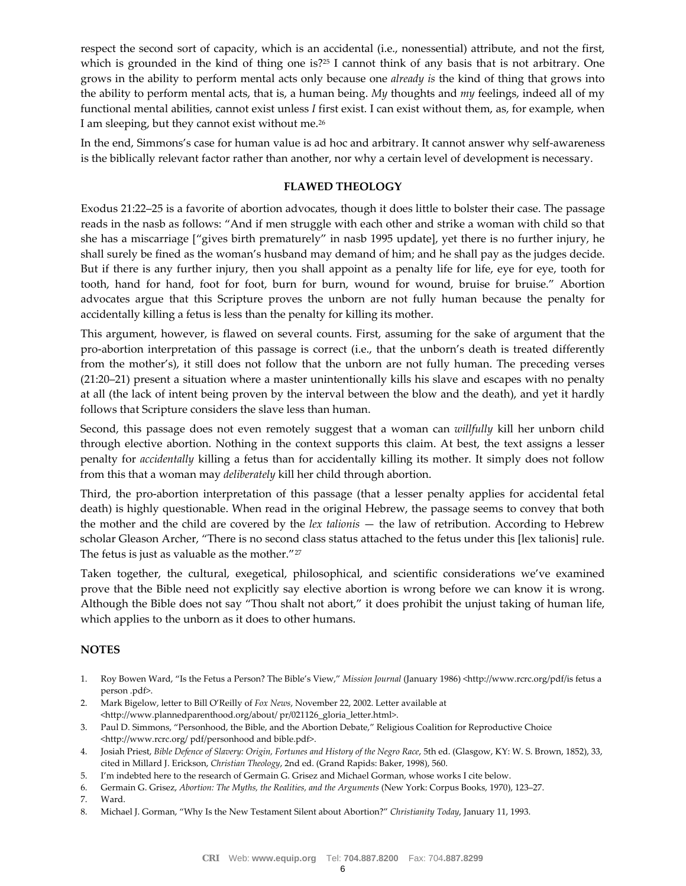respect the second sort of capacity, which is an accidental (i.e., nonessential) attribute, and not the first, which is grounded in the kind of thing one is?<sup>25</sup> I cannot think of any basis that is not arbitrary. One grows in the ability to perform mental acts only because one *already is* the kind of thing that grows into the ability to perform mental acts, that is, a human being. *My* thoughts and *my* feelings, indeed all of my functional mental abilities, cannot exist unless *I* first exist. I can exist without them, as, for example, when I am sleeping, but they cannot exist without me.26

In the end, Simmons's case for human value is ad hoc and arbitrary. It cannot answer why self-awareness is the biblically relevant factor rather than another, nor why a certain level of development is necessary.

## **FLAWED THEOLOGY**

Exodus 21:22–25 is a favorite of abortion advocates, though it does little to bolster their case. The passage reads in the nasb as follows: "And if men struggle with each other and strike a woman with child so that she has a miscarriage ["gives birth prematurely" in nasb 1995 update], yet there is no further injury, he shall surely be fined as the woman's husband may demand of him; and he shall pay as the judges decide. But if there is any further injury, then you shall appoint as a penalty life for life, eye for eye, tooth for tooth, hand for hand, foot for foot, burn for burn, wound for wound, bruise for bruise." Abortion advocates argue that this Scripture proves the unborn are not fully human because the penalty for accidentally killing a fetus is less than the penalty for killing its mother.

This argument, however, is flawed on several counts. First, assuming for the sake of argument that the pro‐abortion interpretation of this passage is correct (i.e., that the unborn's death is treated differently from the mother's), it still does not follow that the unborn are not fully human. The preceding verses (21:20–21) present a situation where a master unintentionally kills his slave and escapes with no penalty at all (the lack of intent being proven by the interval between the blow and the death), and yet it hardly follows that Scripture considers the slave less than human.

Second, this passage does not even remotely suggest that a woman can *willfully* kill her unborn child through elective abortion. Nothing in the context supports this claim. At best, the text assigns a lesser penalty for *accidentally* killing a fetus than for accidentally killing its mother. It simply does not follow from this that a woman may *deliberately* kill her child through abortion.

Third, the pro‐abortion interpretation of this passage (that a lesser penalty applies for accidental fetal death) is highly questionable. When read in the original Hebrew, the passage seems to convey that both the mother and the child are covered by the *lex talionis* — the law of retribution. According to Hebrew scholar Gleason Archer, "There is no second class status attached to the fetus under this [lex talionis] rule. The fetus is just as valuable as the mother."<sup>27</sup>

Taken together, the cultural, exegetical, philosophical, and scientific considerations we've examined prove that the Bible need not explicitly say elective abortion is wrong before we can know it is wrong. Although the Bible does not say "Thou shalt not abort," it does prohibit the unjust taking of human life, which applies to the unborn as it does to other humans.

## **NOTES**

- 1. Roy Bowen Ward, "Is the Fetus a Person? The Bible's View," *Mission Journal* (January 1986) <http://www.rcrc.org/pdf/is fetus a person .pdf>.
- 2. Mark Bigelow, letter to Bill O'Reilly of *Fox News*, November 22, 2002. Letter available at <http://www.plannedparenthood.org/about/ pr/021126\_gloria\_letter.html>.
- 3. Paul D. Simmons, "Personhood, the Bible, and the Abortion Debate," Religious Coalition for Reproductive Choice <http://www.rcrc.org/ pdf/personhood and bible.pdf>.
- 4. Josiah Priest, *Bible Defence of Slavery: Origin, Fortunes and History of the Negro Race*, 5th ed. (Glasgow, KY: W. S. Brown, 1852), 33, cited in Millard J. Erickson, *Christian Theology*, 2nd ed. (Grand Rapids: Baker, 1998), 560.
- 5. I'm indebted here to the research of Germain G. Grisez and Michael Gorman, whose works I cite below.
- 6. Germain G. Grisez, *Abortion: The Myths, the Realities, and the Arguments* (New York: Corpus Books, 1970), 123–27.
- 7. Ward.
- 8. Michael J. Gorman, "Why Is the New Testament Silent about Abortion?" *Christianity Today*, January 11, 1993.